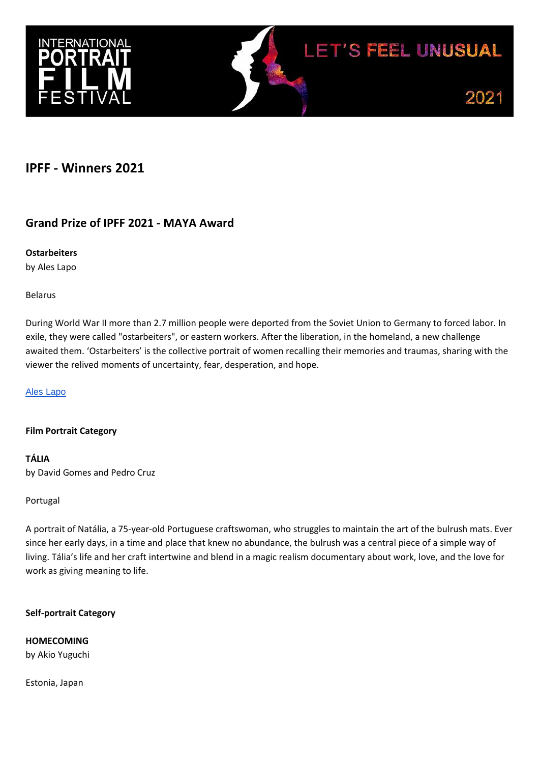



# **IPFF - Winners 2021**

# **Grand Prize of IPFF 2021 - MAYA Award**

## **Ostarbeiters**

by Ales Lapo

Belarus

During World War II more than 2.7 million people were deported from the Soviet Union to Germany to forced labor. In exile, they were called "ostarbeiters", or eastern workers. After the liberation, in the homeland, a new challenge awaited them. 'Ostarbeiters' is the collective portrait of women recalling their memories and traumas, sharing with the viewer the relived moments of uncertainty, fear, desperation, and hope.

[Ales Lapo](https://artdoc.media/ru/author/29772/)

## **Film Portrait Category**

**TÁLIA**  by David Gomes and Pedro Cruz

Portugal

A portrait of Natália, a 75-year-old Portuguese craftswoman, who struggles to maintain the art of the bulrush mats. Ever since her early days, in a time and place that knew no abundance, the bulrush was a central piece of a simple way of living. Тália's life and her craft intertwine and blend in a magic realism documentary about work, love, and the love for work as giving meaning to life.

## **Self-portrait Category**

**HOMECOMING**

by Akio Yuguchi

Estonia, Japan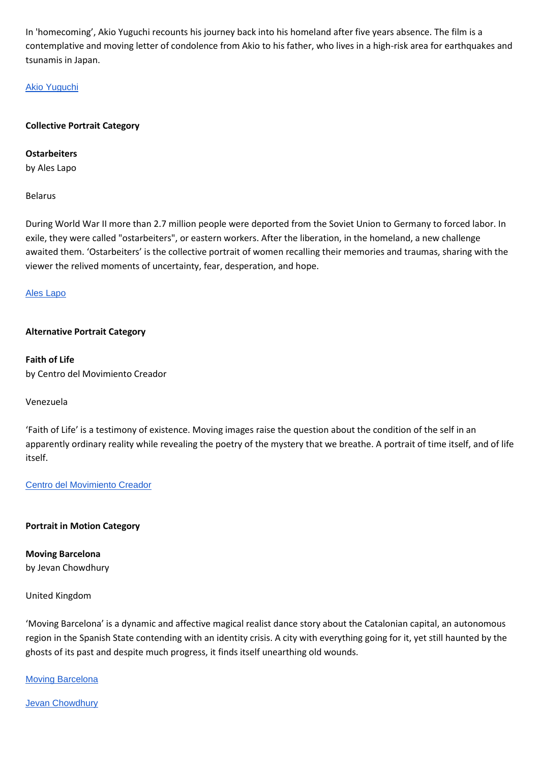In 'homecoming', Akio Yuguchi recounts his journey back into his homeland after five years absence. The film is a contemplative and moving letter of condolence from Akio to his father, who lives in a high-risk area for earthquakes and tsunamis in Japan.

### [Akio Yuguchi](https://dokweb.net/database/persons/biography/11415b51-79a3-47e0-9f7b-b9b367e2407f/akio-yuguchi)

#### **Collective Portrait Category**

**Ostarbeiters**

by Ales Lapo

Belarus

During World War II more than 2.7 million people were deported from the Soviet Union to Germany to forced labor. In exile, they were called "ostarbeiters", or eastern workers. After the liberation, in the homeland, a new challenge awaited them. 'Ostarbeiters' is the collective portrait of women recalling their memories and traumas, sharing with the viewer the relived moments of uncertainty, fear, desperation, and hope.

#### [Ales Lapo](https://artdoc.media/ru/author/29772/)

#### **Alternative Portrait Category**

**Faith of Life** by Centro del Movimiento Creador

#### Venezuela

'Faith of Life' is a testimony of existence. Moving images raise the question about the condition of the self in an apparently ordinary reality while revealing the poetry of the mystery that we breathe. A portrait of time itself, and of life itself.

[Centro del Movimiento Creador](https://www.instagram.com/centrodelmovimientocreador/)

#### **Portrait in Motion Category**

**Moving Barcelona**  by Jevan Chowdhury

#### United Kingdom

'Moving Barcelona' is a dynamic and affective magical realist dance story about the Catalonian capital, an autonomous region in the Spanish State contending with an identity crisis. A city with everything going for it, yet still haunted by the ghosts of its past and despite much progress, it finds itself unearthing old wounds.

**[Moving Barcelona](https://moving-cities.com/)** 

**[Jevan Chowdhury](https://www.instagram.com/movingcitiesproject/)**